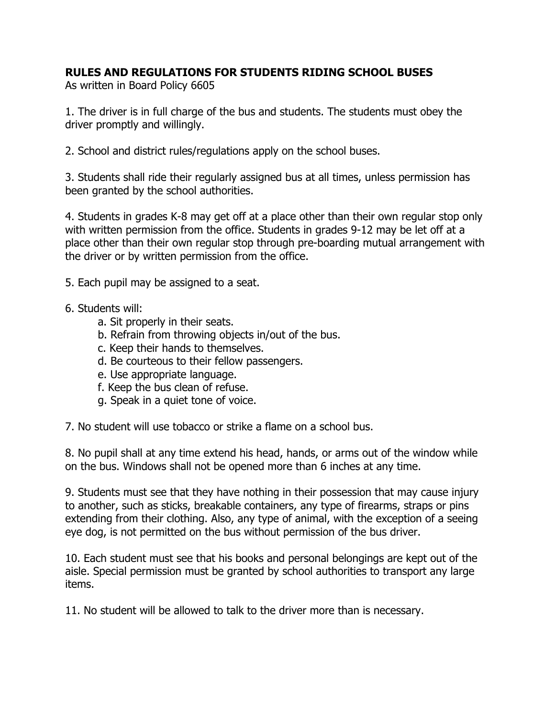## **RULES AND REGULATIONS FOR STUDENTS RIDING SCHOOL BUSES**

As written in Board Policy 6605

1. The driver is in full charge of the bus and students. The students must obey the driver promptly and willingly.

2. School and district rules/regulations apply on the school buses.

3. Students shall ride their regularly assigned bus at all times, unless permission has been granted by the school authorities.

4. Students in grades K-8 may get off at a place other than their own regular stop only with written permission from the office. Students in grades 9-12 may be let off at a place other than their own regular stop through pre-boarding mutual arrangement with the driver or by written permission from the office.

5. Each pupil may be assigned to a seat.

- 6. Students will:
	- a. Sit properly in their seats.
	- b. Refrain from throwing objects in/out of the bus.
	- c. Keep their hands to themselves.
	- d. Be courteous to their fellow passengers.
	- e. Use appropriate language.
	- f. Keep the bus clean of refuse.
	- g. Speak in a quiet tone of voice.

7. No student will use tobacco or strike a flame on a school bus.

8. No pupil shall at any time extend his head, hands, or arms out of the window while on the bus. Windows shall not be opened more than 6 inches at any time.

9. Students must see that they have nothing in their possession that may cause injury to another, such as sticks, breakable containers, any type of firearms, straps or pins extending from their clothing. Also, any type of animal, with the exception of a seeing eye dog, is not permitted on the bus without permission of the bus driver.

10. Each student must see that his books and personal belongings are kept out of the aisle. Special permission must be granted by school authorities to transport any large items.

11. No student will be allowed to talk to the driver more than is necessary.